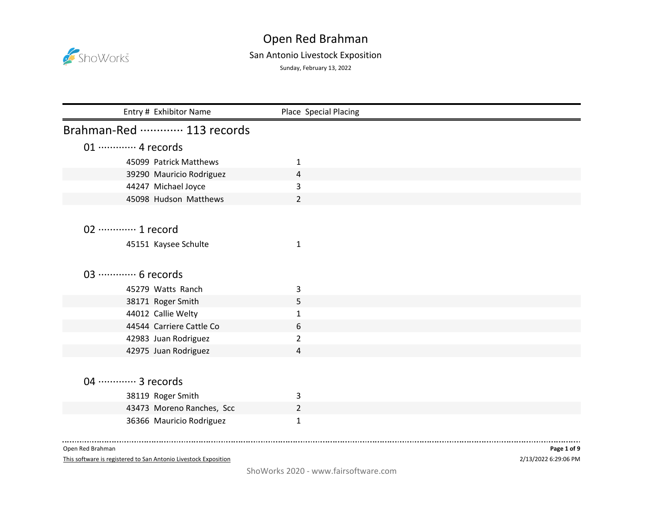

## San Antonio Livestock Exposition

Sunday, February 13, 2022

| Entry # Exhibitor Name      | Place Special Placing |
|-----------------------------|-----------------------|
| Brahman-Red  113 records    |                       |
| 01 ············· 4 records  |                       |
| 45099 Patrick Matthews      | 1                     |
| 39290 Mauricio Rodriguez    | 4                     |
| 44247 Michael Joyce         | 3                     |
| 45098 Hudson Matthews       | $\overline{2}$        |
|                             |                       |
| 02 ·············· 1 record  |                       |
| 45151 Kaysee Schulte        | $\mathbf{1}$          |
|                             |                       |
|                             |                       |
| 03 ·············· 6 records |                       |
| 45279 Watts Ranch           | 3                     |
| 38171 Roger Smith           | 5                     |
| 44012 Callie Welty          | $\mathbf{1}$          |
| 44544 Carriere Cattle Co    | 6                     |
| 42983 Juan Rodriguez        | $\overline{2}$        |
| 42975 Juan Rodriguez        | 4                     |
|                             |                       |
| 04 ·············· 3 records |                       |
|                             |                       |
| 38119 Roger Smith           | 3                     |
| 43473 Moreno Ranches, Scc   | $\overline{2}$        |
| 36366 Mauricio Rodriguez    | $\mathbf{1}$          |
|                             |                       |

Open Red Brahman

This software is registered to San Antonio Livestock Exposition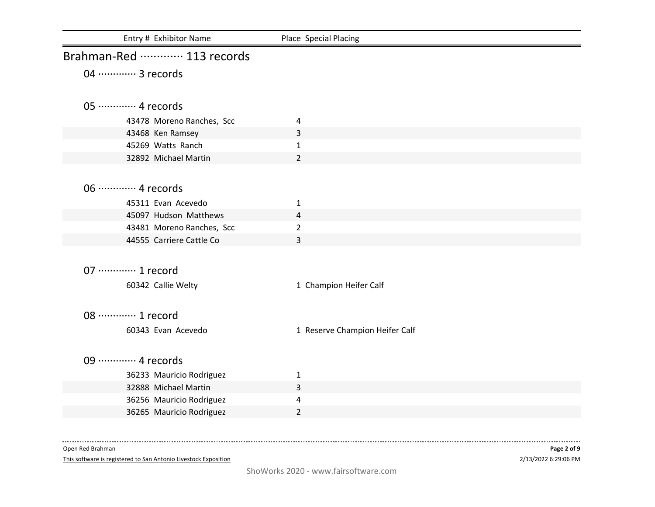| Entry # Exhibitor Name      | Place Special Placing          |
|-----------------------------|--------------------------------|
| Brahman-Red  113 records    |                                |
| 04 ………… 3 records           |                                |
|                             |                                |
| 05 ·············· 4 records |                                |
| 43478 Moreno Ranches, Scc   | 4                              |
| 43468 Ken Ramsey            | 3                              |
| 45269 Watts Ranch           | $\mathbf{1}$                   |
| 32892 Michael Martin        | $\overline{2}$                 |
|                             |                                |
| 06 ············· 4 records  |                                |
| 45311 Evan Acevedo          | 1                              |
| 45097 Hudson Matthews       | 4                              |
| 43481 Moreno Ranches, Scc   | $\overline{2}$                 |
| 44555 Carriere Cattle Co    | 3                              |
|                             |                                |
| 07 ············· 1 record   |                                |
|                             |                                |
| 60342 Callie Welty          | 1 Champion Heifer Calf         |
|                             |                                |
| 08 ············· 1 record   |                                |
| 60343 Evan Acevedo          | 1 Reserve Champion Heifer Calf |
|                             |                                |
| 09  4 records               |                                |
| 36233 Mauricio Rodriguez    | $\mathbf{1}$                   |
| 32888 Michael Martin        | 3                              |
| 36256 Mauricio Rodriguez    | 4                              |
| 36265 Mauricio Rodriguez    | 2                              |
|                             |                                |

This software is registered to San Antonio Livestock Exposition

2/13/2022 6:29:06 PM **Page 2 of 9**

-------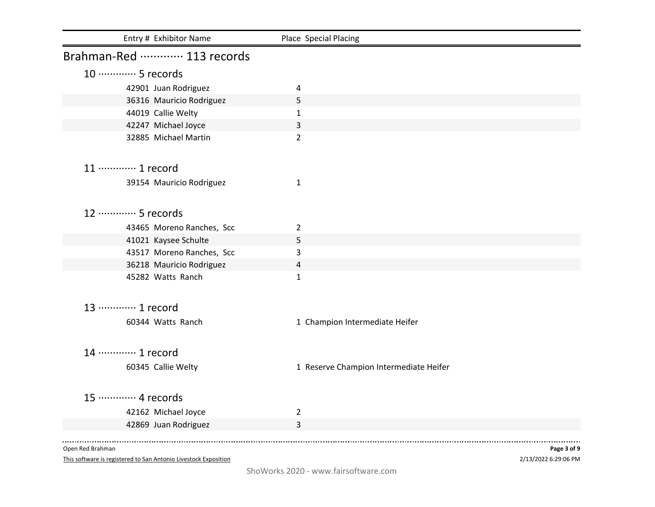| Entry # Exhibitor Name      | Place Special Placing                  |
|-----------------------------|----------------------------------------|
| Brahman-Red  113 records    |                                        |
| 10 ·············· 5 records |                                        |
| 42901 Juan Rodriguez        | 4                                      |
| 36316 Mauricio Rodriguez    | 5                                      |
| 44019 Callie Welty          | $\mathbf{1}$                           |
| 42247 Michael Joyce         | 3                                      |
| 32885 Michael Martin        | $\overline{2}$                         |
| 11 ············· 1 record   |                                        |
| 39154 Mauricio Rodriguez    | 1                                      |
| 12 ………… 5 records           |                                        |
| 43465 Moreno Ranches, Scc   | $\overline{2}$                         |
| 41021 Kaysee Schulte        | 5                                      |
| 43517 Moreno Ranches, Scc   | 3                                      |
| 36218 Mauricio Rodriguez    | 4                                      |
| 45282 Watts Ranch           | $\mathbf{1}$                           |
| 13 ………… 1 record            |                                        |
| 60344 Watts Ranch           | 1 Champion Intermediate Heifer         |
| 14 ………… 1 record            |                                        |
| 60345 Callie Welty          | 1 Reserve Champion Intermediate Heifer |
| 15 ………… 4 records           |                                        |
| 42162 Michael Joyce         | $\overline{2}$                         |
| 42869 Juan Rodriguez        | 3                                      |
|                             |                                        |

This software is registered to San Antonio Livestock Exposition

2/13/2022 6:29:06 PM **Page 3 of 9**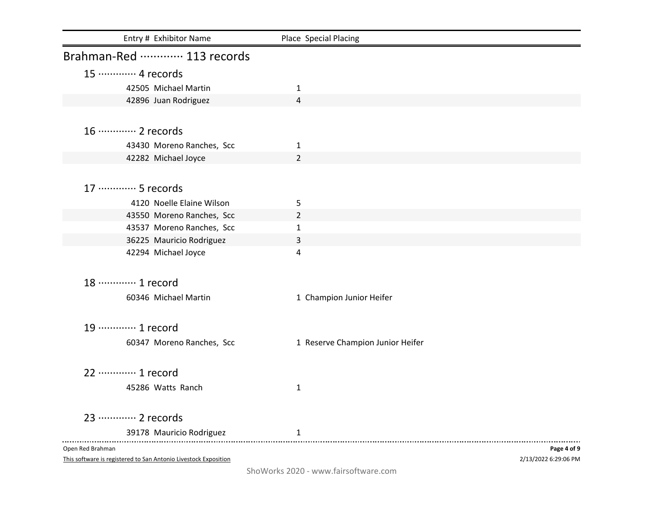| Entry # Exhibitor Name     | Place Special Placing            |             |
|----------------------------|----------------------------------|-------------|
| Brahman-Red  113 records   |                                  |             |
| 15 ············· 4 records |                                  |             |
| 42505 Michael Martin       | 1                                |             |
| 42896 Juan Rodriguez       | 4                                |             |
|                            |                                  |             |
| 16 ············· 2 records |                                  |             |
| 43430 Moreno Ranches, Scc  | $\mathbf{1}$                     |             |
| 42282 Michael Joyce        | $\overline{2}$                   |             |
|                            |                                  |             |
| 17 ············· 5 records |                                  |             |
| 4120 Noelle Elaine Wilson  | 5                                |             |
| 43550 Moreno Ranches, Scc  | $\overline{2}$                   |             |
| 43537 Moreno Ranches, Scc  | $\mathbf{1}$                     |             |
| 36225 Mauricio Rodriguez   | 3                                |             |
| 42294 Michael Joyce        | 4                                |             |
|                            |                                  |             |
| 18 ………… 1 record           |                                  |             |
| 60346 Michael Martin       | 1 Champion Junior Heifer         |             |
|                            |                                  |             |
| 19 ············· 1 record  |                                  |             |
| 60347 Moreno Ranches, Scc  | 1 Reserve Champion Junior Heifer |             |
|                            |                                  |             |
| 22 ………… 1 record           |                                  |             |
| 45286 Watts Ranch          | $\mathbf{1}$                     |             |
|                            |                                  |             |
| 23 ………… 2 records          |                                  |             |
| 39178 Mauricio Rodriguez   | 1                                |             |
| Open Red Brahman           |                                  | Page 4 of 9 |
|                            |                                  |             |

This software is registered to San Antonio Livestock Exposition

2/13/2022 6:29:06 PM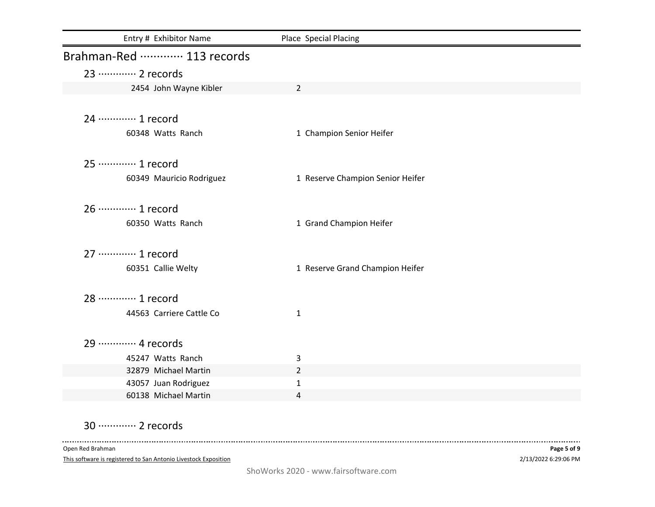| Entry # Exhibitor Name                       | Place Special Placing            |
|----------------------------------------------|----------------------------------|
| Brahman-Red  113 records                     |                                  |
| 23 ………… 2 records                            |                                  |
| 2454 John Wayne Kibler                       | $\overline{2}$                   |
|                                              |                                  |
| 24 ………… 1 record                             |                                  |
| 60348 Watts Ranch                            | 1 Champion Senior Heifer         |
|                                              |                                  |
| 25 ………… 1 record                             |                                  |
| 60349 Mauricio Rodriguez                     | 1 Reserve Champion Senior Heifer |
|                                              |                                  |
| 26 ………… 1 record                             |                                  |
| 60350 Watts Ranch                            | 1 Grand Champion Heifer          |
|                                              |                                  |
| 27 ………… 1 record                             |                                  |
| 60351 Callie Welty                           | 1 Reserve Grand Champion Heifer  |
|                                              |                                  |
| 28 ………… 1 record                             |                                  |
| 44563 Carriere Cattle Co                     | $\mathbf{1}$                     |
|                                              |                                  |
| 29 ………… 4 records                            |                                  |
| 45247 Watts Ranch                            | 3                                |
| 32879 Michael Martin                         | $\overline{2}$                   |
| 43057 Juan Rodriguez<br>60138 Michael Martin | $\mathbf{1}$                     |
|                                              | 4                                |

30 ·············· 2 records

Open Red Brahman

 $\sim$   $\sim$   $\sim$ 

This software is registered to San Antonio Livestock Exposition

------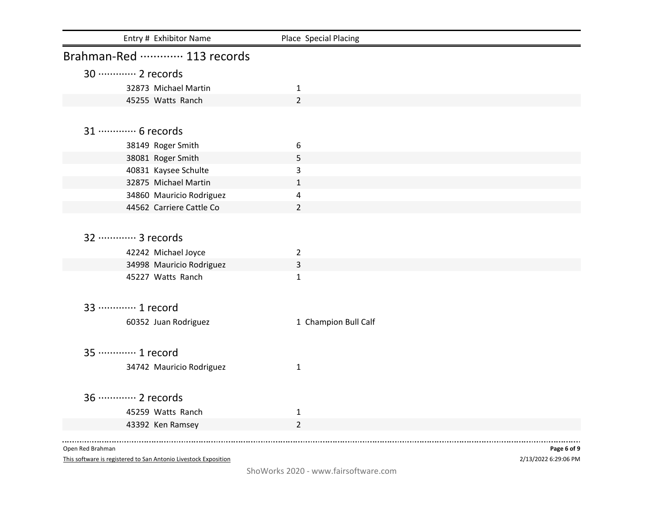| Entry # Exhibitor Name     | Place Special Placing |
|----------------------------|-----------------------|
| Brahman-Red  113 records   |                       |
| 30 ············· 2 records |                       |
| 32873 Michael Martin       | $\mathbf{1}$          |
| 45255 Watts Ranch          | $\overline{2}$        |
|                            |                       |
| 31 ………… 6 records          |                       |
| 38149 Roger Smith          | 6                     |
| 38081 Roger Smith          | 5                     |
| 40831 Kaysee Schulte       | 3                     |
| 32875 Michael Martin       | $\mathbf{1}$          |
| 34860 Mauricio Rodriguez   | 4                     |
| 44562 Carriere Cattle Co   | $\overline{2}$        |
|                            |                       |
| 32 ………… 3 records          |                       |
| 42242 Michael Joyce        | $\overline{2}$        |
| 34998 Mauricio Rodriguez   | 3                     |
| 45227 Watts Ranch          | $\mathbf{1}$          |
|                            |                       |
| 33 ………… 1 record           |                       |
| 60352 Juan Rodriguez       | 1 Champion Bull Calf  |
|                            |                       |
| 35 ………… 1 record           |                       |
| 34742 Mauricio Rodriguez   | $\mathbf{1}$          |
|                            |                       |
| 36 ………… 2 records          |                       |
| 45259 Watts Ranch          | $\mathbf{1}$          |
| 43392 Ken Ramsey           | $\overline{2}$        |
|                            |                       |

This software is registered to San Antonio Livestock Exposition

2/13/2022 6:29:06 PM **Page 6 of 9**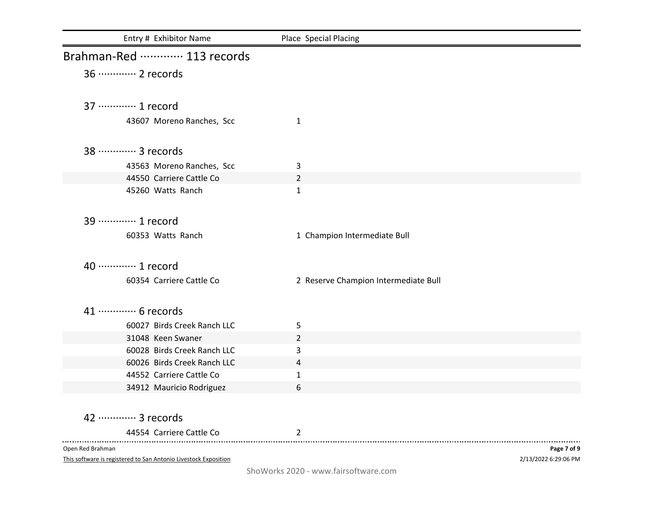| Entry # Exhibitor Name      | Place Special Placing                |             |
|-----------------------------|--------------------------------------|-------------|
| Brahman-Red  113 records    |                                      |             |
| 36 ············· 2 records  |                                      |             |
| 37 ………… 1 record            |                                      |             |
| 43607 Moreno Ranches, Scc   | $\mathbf{1}$                         |             |
| 38  3 records               |                                      |             |
| 43563 Moreno Ranches, Scc   | 3                                    |             |
| 44550 Carriere Cattle Co    | $\overline{2}$                       |             |
| 45260 Watts Ranch           | $\mathbf{1}$                         |             |
| 39  1 record                |                                      |             |
| 60353 Watts Ranch           | 1 Champion Intermediate Bull         |             |
| 40 ············· 1 record   |                                      |             |
| 60354 Carriere Cattle Co    | 2 Reserve Champion Intermediate Bull |             |
| 41 ………… 6 records           |                                      |             |
| 60027 Birds Creek Ranch LLC | 5                                    |             |
| 31048 Keen Swaner           | $\overline{2}$                       |             |
| 60028 Birds Creek Ranch LLC | 3                                    |             |
| 60026 Birds Creek Ranch LLC | 4                                    |             |
| 44552 Carriere Cattle Co    | 1                                    |             |
| 34912 Mauricio Rodriguez    | 6                                    |             |
| 42 ············· 3 records  |                                      |             |
| 44554 Carriere Cattle Co    | 2                                    |             |
| Open Red Brahman            |                                      | Page 7 of 9 |

This software is registered to San Antonio Livestock Exposition

2/13/2022 6:29:06 PM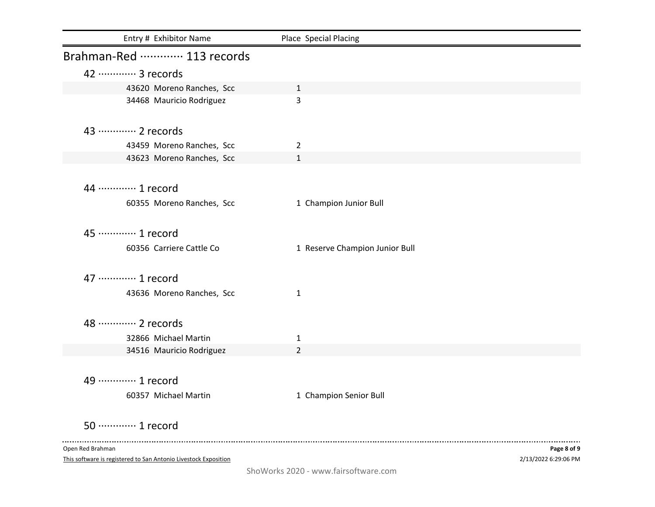| Entry # Exhibitor Name                                          | Place Special Placing          |                      |
|-----------------------------------------------------------------|--------------------------------|----------------------|
| Brahman-Red  113 records                                        |                                |                      |
| 42 ………… 3 records                                               |                                |                      |
| 43620 Moreno Ranches, Scc                                       | $\mathbf{1}$                   |                      |
| 34468 Mauricio Rodriguez                                        | 3                              |                      |
| 43 ………… 2 records                                               |                                |                      |
| 43459 Moreno Ranches, Scc                                       | 2                              |                      |
| 43623 Moreno Ranches, Scc                                       | $\mathbf{1}$                   |                      |
| 44 ………… 1 record                                                |                                |                      |
| 60355 Moreno Ranches, Scc                                       | 1 Champion Junior Bull         |                      |
| 45 ………… 1 record                                                |                                |                      |
| 60356 Carriere Cattle Co                                        | 1 Reserve Champion Junior Bull |                      |
| 47 ············· 1 record                                       |                                |                      |
| 43636 Moreno Ranches, Scc                                       | 1                              |                      |
| 48 ………… 2 records                                               |                                |                      |
| 32866 Michael Martin                                            | 1                              |                      |
| 34516 Mauricio Rodriguez                                        | $\overline{2}$                 |                      |
| 49 ············· 1 record                                       |                                |                      |
| 60357 Michael Martin                                            | 1 Champion Senior Bull         |                      |
| 50 ············· 1 record                                       |                                |                      |
| Open Red Brahman                                                |                                | Page 8 of 9          |
| This software is registered to San Antonio Livestock Exposition |                                | 2/13/2022 6:29:06 PM |